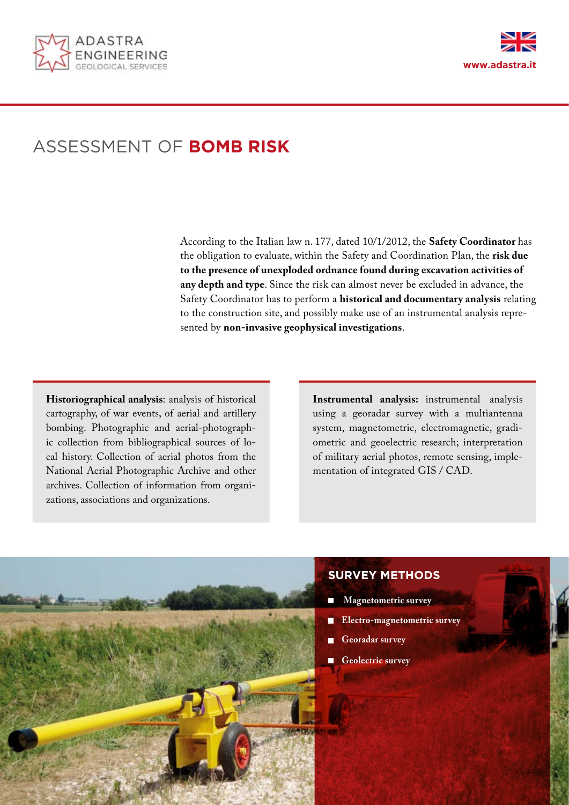



# ASSESSMENT OF **BOMB RISK**

According to the Italian law n. 177, dated 10/1/2012, the **Safety Coordinator** has the obligation to evaluate, within the Safety and Coordination Plan, the **risk due to the presence of unexploded ordnance found during excavation activities of any depth and type**. Since the risk can almost never be excluded in advance, the Safety Coordinator has to perform a **historical and documentary analysis** relating to the construction site, and possibly make use of an instrumental analysis represented by **non-invasive geophysical investigations**.

**Historiographical analysis**: analysis of historical cartography, of war events, of aerial and artillery bombing. Photographic and aerial-photographic collection from bibliographical sources of local history. Collection of aerial photos from the National Aerial Photographic Archive and other archives. Collection of information from organizations, associations and organizations.

**Instrumental analysis:** instrumental analysis using a georadar survey with a multiantenna system, magnetometric, electromagnetic, gradiometric and geoelectric research; interpretation of military aerial photos, remote sensing, implementation of integrated GIS / CAD.



## **SURVEY METHODS**

- **Magnetometric survey**
- **Electro-magnetometric survey**
- **Georadar survey**
- **Geolectric survey**